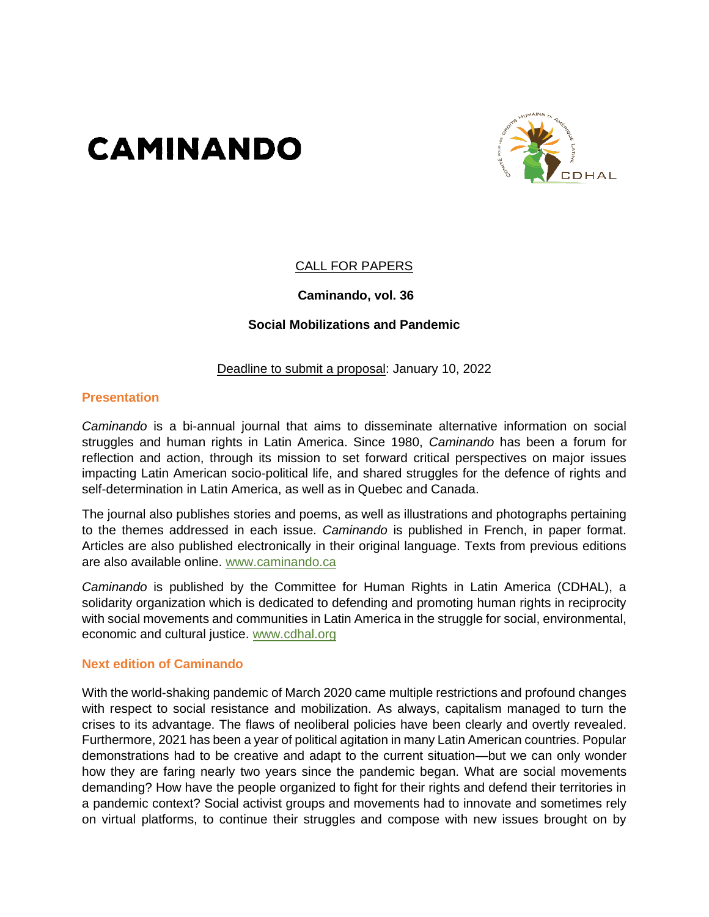# **CAMINANDO**



#### CALL FOR PAPERS

#### **Caminando, vol. 36**

#### **Social Mobilizations and Pandemic**

#### Deadline to submit a proposal: January 10, 2022

#### **Presentation**

*Caminando* is a bi-annual journal that aims to disseminate alternative information on social struggles and human rights in Latin America. Since 1980, *Caminando* has been a forum for reflection and action, through its mission to set forward critical perspectives on major issues impacting Latin American socio-political life, and shared struggles for the defence of rights and self-determination in Latin America, as well as in Quebec and Canada.

The journal also publishes stories and poems, as well as illustrations and photographs pertaining to the themes addressed in each issue. *Caminando* is published in French, in paper format. Articles are also published electronically in their original language. Texts from previous editions are also available online. [www.caminando.ca](http://www.caminando.ca/) 

*Caminando* is published by the Committee for Human Rights in Latin America (CDHAL), a solidarity organization which is dedicated to defending and promoting human rights in reciprocity with social movements and communities in Latin America in the struggle for social, environmental, economic and cultural justice. [www.cdhal.org](http://www.cdhal.org/)

#### **Next edition of Caminando**

With the world-shaking pandemic of March 2020 came multiple restrictions and profound changes with respect to social resistance and mobilization. As always, capitalism managed to turn the crises to its advantage. The flaws of neoliberal policies have been clearly and overtly revealed. Furthermore, 2021 has been a year of political agitation in many Latin American countries. Popular demonstrations had to be creative and adapt to the current situation—but we can only wonder how they are faring nearly two years since the pandemic began. What are social movements demanding? How have the people organized to fight for their rights and defend their territories in a pandemic context? Social activist groups and movements had to innovate and sometimes rely on virtual platforms, to continue their struggles and compose with new issues brought on by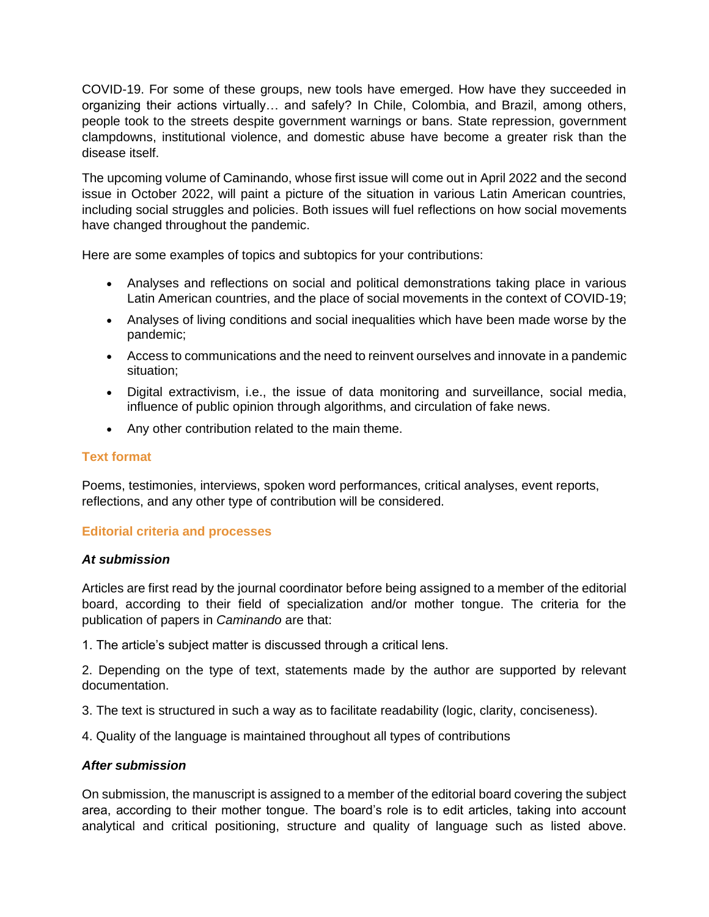COVID-19. For some of these groups, new tools have emerged. How have they succeeded in organizing their actions virtually… and safely? In Chile, Colombia, and Brazil, among others, people took to the streets despite government warnings or bans. State repression, government clampdowns, institutional violence, and domestic abuse have become a greater risk than the disease itself.

The upcoming volume of Caminando, whose first issue will come out in April 2022 and the second issue in October 2022, will paint a picture of the situation in various Latin American countries, including social struggles and policies. Both issues will fuel reflections on how social movements have changed throughout the pandemic.

Here are some examples of topics and subtopics for your contributions:

- Analyses and reflections on social and political demonstrations taking place in various Latin American countries, and the place of social movements in the context of COVID-19;
- Analyses of living conditions and social inequalities which have been made worse by the pandemic;
- Access to communications and the need to reinvent ourselves and innovate in a pandemic situation;
- Digital extractivism, i.e., the issue of data monitoring and surveillance, social media, influence of public opinion through algorithms, and circulation of fake news.
- Any other contribution related to the main theme.

#### **Text format**

Poems, testimonies, interviews, spoken word performances, critical analyses, event reports, reflections, and any other type of contribution will be considered.

#### **Editorial criteria and processes**

#### *At submission*

Articles are first read by the journal coordinator before being assigned to a member of the editorial board, according to their field of specialization and/or mother tongue. The criteria for the publication of papers in *Caminando* are that:

1. The article's subject matter is discussed through a critical lens.

2. Depending on the type of text, statements made by the author are supported by relevant documentation.

3. The text is structured in such a way as to facilitate readability (logic, clarity, conciseness).

4. Quality of the language is maintained throughout all types of contributions

#### *After submission*

On submission, the manuscript is assigned to a member of the editorial board covering the subject area, according to their mother tongue. The board's role is to edit articles, taking into account analytical and critical positioning, structure and quality of language such as listed above.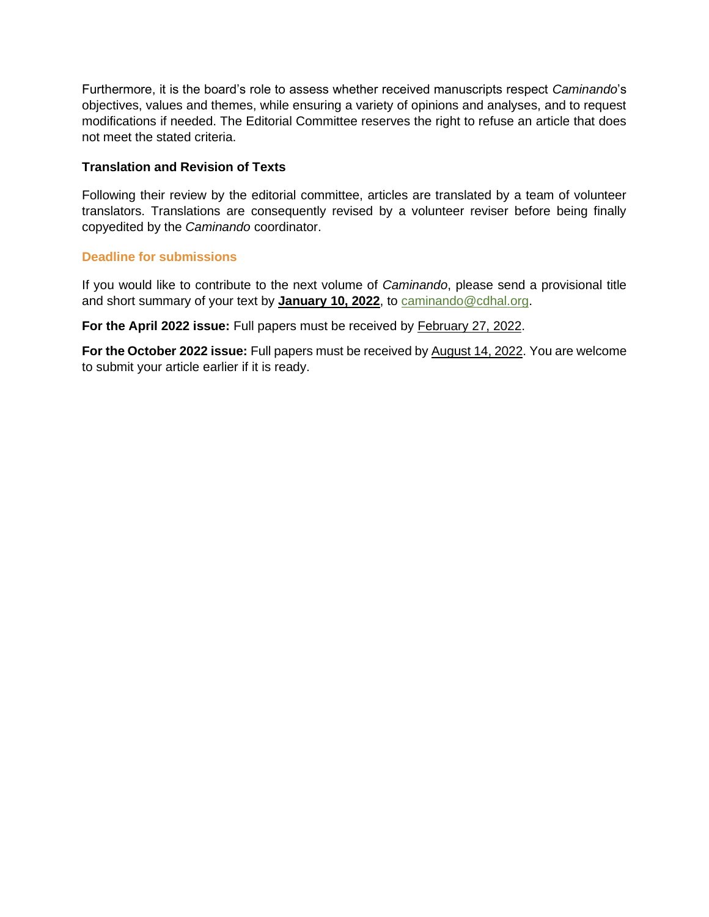Furthermore, it is the board's role to assess whether received manuscripts respect *Caminando*'s objectives, values and themes, while ensuring a variety of opinions and analyses, and to request modifications if needed. The Editorial Committee reserves the right to refuse an article that does not meet the stated criteria.

#### **Translation and Revision of Texts**

Following their review by the editorial committee, articles are translated by a team of volunteer translators. Translations are consequently revised by a volunteer reviser before being finally copyedited by the *Caminando* coordinator.

#### **Deadline for submissions**

If you would like to contribute to the next volume of *Caminando*, please send a provisional title and short summary of your text by **January 10, 2022**, to [caminando@cdhal.org.](mailto:caminando@cdhal.org)

**For the April 2022 issue:** Full papers must be received by February 27, 2022.

**For the October 2022 issue:** Full papers must be received by August 14, 2022. You are welcome to submit your article earlier if it is ready.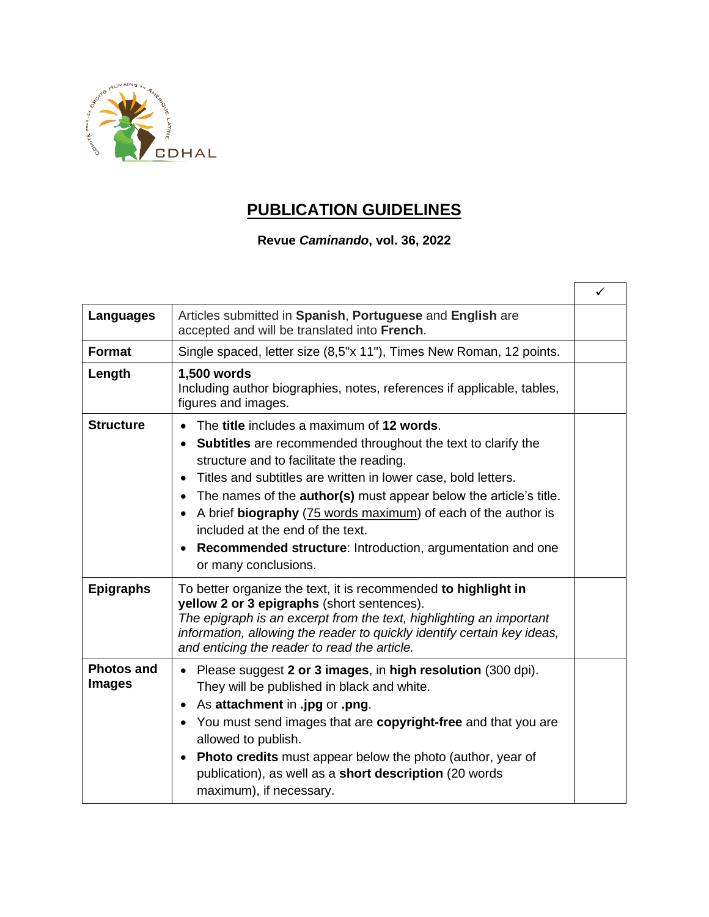

# **PUBLICATION GUIDELINES**

### **Revue** *Caminando***, vol. 36, 2022**

|                                    |                                                                                                                                                                                                                                                                                                                                                                                                                                                                                                      | ✓ |
|------------------------------------|------------------------------------------------------------------------------------------------------------------------------------------------------------------------------------------------------------------------------------------------------------------------------------------------------------------------------------------------------------------------------------------------------------------------------------------------------------------------------------------------------|---|
| <b>Languages</b>                   | Articles submitted in Spanish, Portuguese and English are<br>accepted and will be translated into French.                                                                                                                                                                                                                                                                                                                                                                                            |   |
| <b>Format</b>                      | Single spaced, letter size (8,5"x 11"), Times New Roman, 12 points.                                                                                                                                                                                                                                                                                                                                                                                                                                  |   |
| Length                             | 1,500 words<br>Including author biographies, notes, references if applicable, tables,<br>figures and images.                                                                                                                                                                                                                                                                                                                                                                                         |   |
| <b>Structure</b>                   | The title includes a maximum of 12 words.<br><b>Subtitles</b> are recommended throughout the text to clarify the<br>structure and to facilitate the reading.<br>Titles and subtitles are written in lower case, bold letters.<br>The names of the <b>author(s)</b> must appear below the article's title.<br>A brief biography (75 words maximum) of each of the author is<br>included at the end of the text.<br>Recommended structure: Introduction, argumentation and one<br>or many conclusions. |   |
| <b>Epigraphs</b>                   | To better organize the text, it is recommended to highlight in<br>yellow 2 or 3 epigraphs (short sentences).<br>The epigraph is an excerpt from the text, highlighting an important<br>information, allowing the reader to quickly identify certain key ideas,<br>and enticing the reader to read the article.                                                                                                                                                                                       |   |
| <b>Photos and</b><br><b>Images</b> | Please suggest 2 or 3 images, in high resolution (300 dpi).<br>$\bullet$<br>They will be published in black and white.<br>• As attachment in .jpg or .png.<br>You must send images that are copyright-free and that you are<br>allowed to publish.<br><b>Photo credits</b> must appear below the photo (author, year of<br>publication), as well as a short description (20 words<br>maximum), if necessary.                                                                                         |   |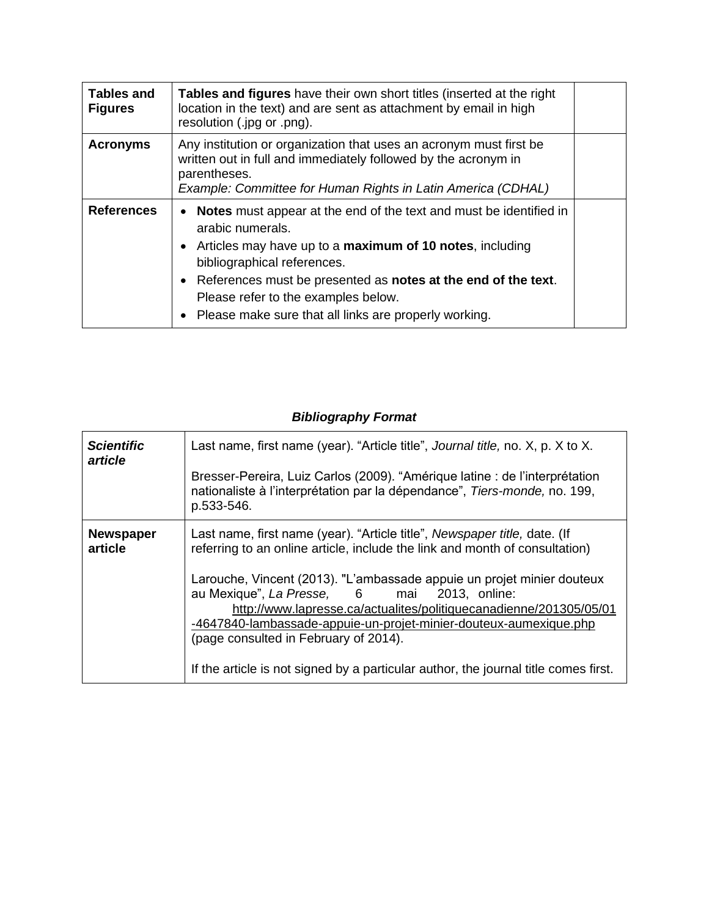| <b>Tables and</b><br><b>Figures</b> | Tables and figures have their own short titles (inserted at the right<br>location in the text) and are sent as attachment by email in high<br>resolution (.jpg or .png).                                                                                                                                                                                                |  |
|-------------------------------------|-------------------------------------------------------------------------------------------------------------------------------------------------------------------------------------------------------------------------------------------------------------------------------------------------------------------------------------------------------------------------|--|
| <b>Acronyms</b>                     | Any institution or organization that uses an acronym must first be<br>written out in full and immediately followed by the acronym in<br>parentheses.<br>Example: Committee for Human Rights in Latin America (CDHAL)                                                                                                                                                    |  |
| <b>References</b>                   | <b>Notes</b> must appear at the end of the text and must be identified in<br>arabic numerals.<br>• Articles may have up to a <b>maximum of 10 notes</b> , including<br>bibliographical references.<br>• References must be presented as notes at the end of the text.<br>Please refer to the examples below.<br>• Please make sure that all links are properly working. |  |

## *Bibliography Format*

| <b>Scientific</b><br>article | Last name, first name (year). "Article title", Journal title, no. X, p. X to X.<br>Bresser-Pereira, Luiz Carlos (2009). "Amérique latine : de l'interprétation<br>nationaliste à l'interprétation par la dépendance", Tiers-monde, no. 199,<br>p.533-546.                                                                                                                                                                                                                                                                                                    |
|------------------------------|--------------------------------------------------------------------------------------------------------------------------------------------------------------------------------------------------------------------------------------------------------------------------------------------------------------------------------------------------------------------------------------------------------------------------------------------------------------------------------------------------------------------------------------------------------------|
| <b>Newspaper</b><br>article  | Last name, first name (year). "Article title", Newspaper title, date. (If<br>referring to an online article, include the link and month of consultation)<br>Larouche, Vincent (2013). "L'ambassade appuie un projet minier douteux<br>au Mexique", La Presse, 6 mai 2013, online:<br>http://www.lapresse.ca/actualites/politiquecanadienne/201305/05/01<br>-4647840-lambassade-appuie-un-projet-minier-douteux-aumexique.php<br>(page consulted in February of 2014).<br>If the article is not signed by a particular author, the journal title comes first. |